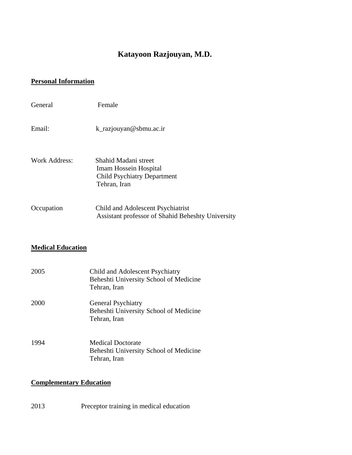# **Katayoon Razjouyan, M.D.**

#### **Personal Information**

| General       | Female                                                                                                     |
|---------------|------------------------------------------------------------------------------------------------------------|
| Email:        | k_razjouyan@sbmu.ac.ir                                                                                     |
| Work Address: | Shahid Madani street<br><b>Imam Hossein Hospital</b><br><b>Child Psychiatry Department</b><br>Tehran, Iran |
| Occupation    | Child and Adolescent Psychiatrist<br>Assistant professor of Shahid Beheshty University                     |

## **Medical Education**

| 2005 | Child and Adolescent Psychiatry<br>Beheshti University School of Medicine<br>Tehran, Iran |
|------|-------------------------------------------------------------------------------------------|
| 2000 | <b>General Psychiatry</b><br>Beheshti University School of Medicine<br>Tehran, Iran       |
| 1994 | <b>Medical Doctorate</b><br>Beheshti University School of Medicine<br>Tehran, Iran        |

#### **Complementary Education**

2013 Preceptor training in medical education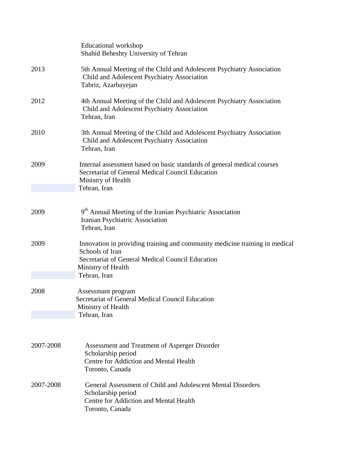|           | <b>Educational workshop</b><br>Shahid Beheshty University of Tehran                                                                                                                      |
|-----------|------------------------------------------------------------------------------------------------------------------------------------------------------------------------------------------|
| 2013      | 5th Annual Meeting of the Child and Adolescent Psychiatry Association<br>Child and Adolescent Psychiatry Association<br>Tabriz, Azarbayejan                                              |
| 2012      | 4th Annual Meeting of the Child and Adolescent Psychiatry Association<br>Child and Adolescent Psychiatry Association<br>Tehran, Iran                                                     |
| 2010      | 3th Annual Meeting of the Child and Adolescent Psychiatry Association<br>Child and Adolescent Psychiatry Association<br>Tehran, Iran                                                     |
| 2009      | Internal assessment based on basic standards of general medical courses<br>Secretariat of General Medical Council Education<br>Ministry of Health<br>Tehran, Iran                        |
| 2009      | 9 <sup>th</sup> Annual Meeting of the Iranian Psychiatric Association<br>Iranian Psychiatric Association<br>Tehran, Iran                                                                 |
| 2009      | Innovation in providing training and community medicine training in medical<br>Schools of Iran<br>Secretariat of General Medical Council Education<br>Ministry of Health<br>Tehran, Iran |
| 2008      | Assessmant program<br>Secretariat of General Medical Council Education<br>Ministry of Health<br>Tehran, Iran                                                                             |
| 2007-2008 | Assessment and Treatment of Asperger Disorder<br>Scholarship period<br>Centre for Addiction and Mental Health<br>Toronto, Canada                                                         |
| 2007-2008 | General Assessment of Child and Adolescent Mental Disorders<br>Scholarship period<br>Centre for Addiction and Mental Health<br>Toronto, Canada                                           |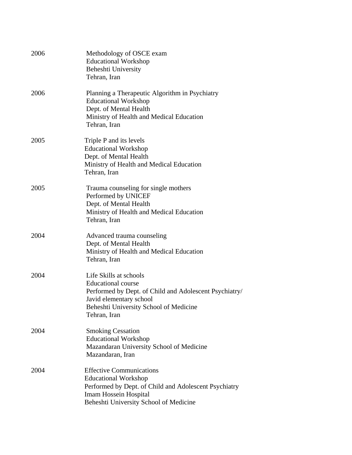| 2006 | Methodology of OSCE exam<br><b>Educational Workshop</b><br>Beheshti University<br>Tehran, Iran                                                                                                     |
|------|----------------------------------------------------------------------------------------------------------------------------------------------------------------------------------------------------|
| 2006 | Planning a Therapeutic Algorithm in Psychiatry<br><b>Educational Workshop</b><br>Dept. of Mental Health<br>Ministry of Health and Medical Education<br>Tehran, Iran                                |
| 2005 | Triple P and its levels<br><b>Educational Workshop</b><br>Dept. of Mental Health<br>Ministry of Health and Medical Education<br>Tehran, Iran                                                       |
| 2005 | Trauma counseling for single mothers<br>Performed by UNICEF<br>Dept. of Mental Health<br>Ministry of Health and Medical Education<br>Tehran, Iran                                                  |
| 2004 | Advanced trauma counseling<br>Dept. of Mental Health<br>Ministry of Health and Medical Education<br>Tehran, Iran                                                                                   |
| 2004 | Life Skills at schools<br><b>Educational</b> course<br>Performed by Dept. of Child and Adolescent Psychiatry/<br>Javid elementary school<br>Beheshti University School of Medicine<br>Tehran, Iran |
| 2004 | <b>Smoking Cessation</b><br><b>Educational Workshop</b><br>Mazandaran University School of Medicine<br>Mazandaran, Iran                                                                            |
| 2004 | <b>Effective Communications</b><br><b>Educational Workshop</b><br>Performed by Dept. of Child and Adolescent Psychiatry<br>Imam Hossein Hospital<br>Beheshti University School of Medicine         |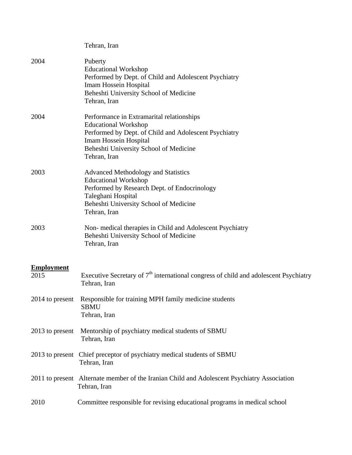|                   | Tehran, Iran                                                                                                                                                                                                         |
|-------------------|----------------------------------------------------------------------------------------------------------------------------------------------------------------------------------------------------------------------|
| 2004              | Puberty<br><b>Educational Workshop</b><br>Performed by Dept. of Child and Adolescent Psychiatry<br><b>Imam Hossein Hospital</b><br>Beheshti University School of Medicine<br>Tehran, Iran                            |
| 2004              | Performance in Extramarital relationships<br><b>Educational Workshop</b><br>Performed by Dept. of Child and Adolescent Psychiatry<br>Imam Hossein Hospital<br>Beheshti University School of Medicine<br>Tehran, Iran |
| 2003              | <b>Advanced Methodology and Statistics</b><br><b>Educational Workshop</b><br>Performed by Research Dept. of Endocrinology<br>Taleghani Hospital<br>Beheshti University School of Medicine<br>Tehran, Iran            |
| 2003              | Non- medical therapies in Child and Adolescent Psychiatry<br>Beheshti University School of Medicine<br>Tehran, Iran                                                                                                  |
| <b>Employment</b> |                                                                                                                                                                                                                      |
| 2015              | Executive Secretary of $7th$ international congress of child and adolescent Psychiatry<br>Tehran, Iran                                                                                                               |
|                   | 2014 to present Responsible for training MPH family medicine students<br><b>SBMU</b><br>Tehran, Iran                                                                                                                 |
| 2013 to present   | Mentorship of psychiatry medical students of SBMU<br>Tehran, Iran                                                                                                                                                    |
| 2013 to present   | Chief preceptor of psychiatry medical students of SBMU<br>Tehran, Iran                                                                                                                                               |
|                   | 2011 to present Alternate member of the Iranian Child and Adolescent Psychiatry Association<br>Tehran, Iran                                                                                                          |
| 2010              | Committee responsible for revising educational programs in medical school                                                                                                                                            |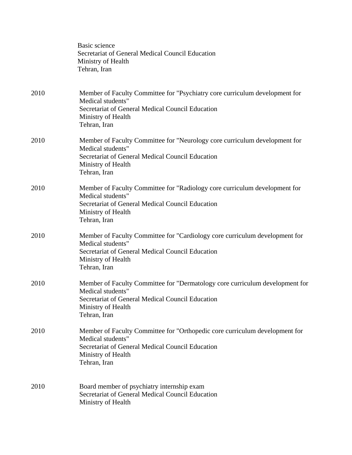|      | Basic science<br>Secretariat of General Medical Council Education<br>Ministry of Health<br>Tehran, Iran                                                                                     |
|------|---------------------------------------------------------------------------------------------------------------------------------------------------------------------------------------------|
| 2010 | Member of Faculty Committee for "Psychiatry core curriculum development for<br>Medical students"<br>Secretariat of General Medical Council Education<br>Ministry of Health<br>Tehran, Iran  |
| 2010 | Member of Faculty Committee for "Neurology core curriculum development for<br>Medical students"<br>Secretariat of General Medical Council Education<br>Ministry of Health<br>Tehran, Iran   |
| 2010 | Member of Faculty Committee for "Radiology core curriculum development for<br>Medical students"<br>Secretariat of General Medical Council Education<br>Ministry of Health<br>Tehran, Iran   |
| 2010 | Member of Faculty Committee for "Cardiology core curriculum development for<br>Medical students"<br>Secretariat of General Medical Council Education<br>Ministry of Health<br>Tehran, Iran  |
| 2010 | Member of Faculty Committee for "Dermatology core curriculum development for<br>Medical students"<br>Secretariat of General Medical Council Education<br>Ministry of Health<br>Tehran, Iran |
| 2010 | Member of Faculty Committee for "Orthopedic core curriculum development for<br>Medical students"<br>Secretariat of General Medical Council Education<br>Ministry of Health<br>Tehran, Iran  |
| 2010 | Board member of psychiatry internship exam<br>Secretariat of General Medical Council Education<br>Ministry of Health                                                                        |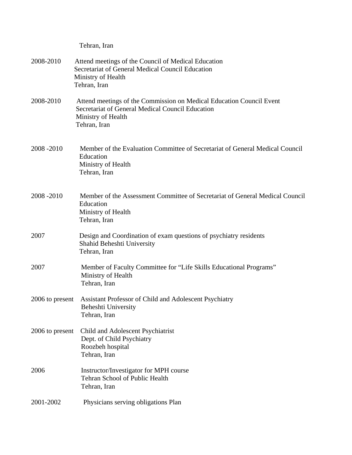|                 | Tehran, Iran                                                                                                                                                   |
|-----------------|----------------------------------------------------------------------------------------------------------------------------------------------------------------|
| 2008-2010       | Attend meetings of the Council of Medical Education<br>Secretariat of General Medical Council Education<br>Ministry of Health<br>Tehran, Iran                  |
| 2008-2010       | Attend meetings of the Commission on Medical Education Council Event<br>Secretariat of General Medical Council Education<br>Ministry of Health<br>Tehran, Iran |
| 2008-2010       | Member of the Evaluation Committee of Secretariat of General Medical Council<br>Education<br>Ministry of Health<br>Tehran, Iran                                |
| 2008-2010       | Member of the Assessment Committee of Secretariat of General Medical Council<br>Education<br>Ministry of Health<br>Tehran, Iran                                |
| 2007            | Design and Coordination of exam questions of psychiatry residents<br>Shahid Beheshti University<br>Tehran, Iran                                                |
| 2007            | Member of Faculty Committee for "Life Skills Educational Programs"<br>Ministry of Health<br>Tehran, Iran                                                       |
|                 | 2006 to present Assistant Professor of Child and Adolescent Psychiatry<br>Beheshti University<br>Tehran, Iran                                                  |
| 2006 to present | Child and Adolescent Psychiatrist<br>Dept. of Child Psychiatry<br>Roozbeh hospital<br>Tehran, Iran                                                             |
| 2006            | Instructor/Investigator for MPH course<br>Tehran School of Public Health<br>Tehran, Iran                                                                       |
| 2001-2002       | Physicians serving obligations Plan                                                                                                                            |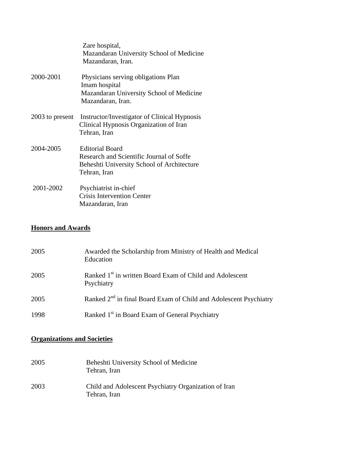|                 | Zare hospital,<br>Mazandaran University School of Medicine<br>Mazandaran, Iran.                                                  |
|-----------------|----------------------------------------------------------------------------------------------------------------------------------|
| 2000-2001       | Physicians serving obligations Plan<br>Imam hospital<br>Mazandaran University School of Medicine<br>Mazandaran, Iran.            |
| 2003 to present | Instructor/Investigator of Clinical Hypnosis<br>Clinical Hypnosis Organization of Iran<br>Tehran, Iran                           |
| 2004-2005       | <b>Editorial Board</b><br>Research and Scientific Journal of Soffe<br>Beheshti University School of Architecture<br>Tehran, Iran |
| 2001-2002       | Psychiatrist in-chief<br><b>Crisis Intervention Center</b><br>Mazandaran, Iran                                                   |

#### **Honors and Awards**

| 2005 | Awarded the Scholarship from Ministry of Health and Medical<br>Education           |
|------|------------------------------------------------------------------------------------|
| 2005 | Ranked 1 <sup>st</sup> in written Board Exam of Child and Adolescent<br>Psychiatry |
| 2005 | Ranked 2 <sup>nd</sup> in final Board Exam of Child and Adolescent Psychiatry      |
| 1998 | Ranked 1 <sup>st</sup> in Board Exam of General Psychiatry                         |

### **Organizations and Societies**

| 2005 | Beheshti University School of Medicine<br>Tehran, Iran               |
|------|----------------------------------------------------------------------|
| 2003 | Child and Adolescent Psychiatry Organization of Iran<br>Tehran, Iran |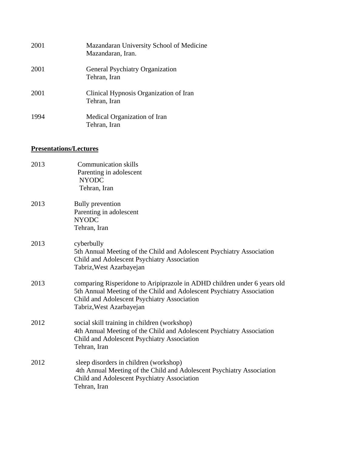| 2001 | Mazandaran University School of Medicine<br>Mazandaran, Iran. |
|------|---------------------------------------------------------------|
| 2001 | <b>General Psychiatry Organization</b><br>Tehran, Iran        |
| 2001 | Clinical Hypnosis Organization of Iran<br>Tehran, Iran        |
| 1994 | Medical Organization of Iran<br>Tehran, Iran                  |

#### **Presentations/Lectures**

| 2013 | <b>Communication skills</b><br>Parenting in adolescent<br><b>NYODC</b><br>Tehran, Iran                                                                                                                                       |
|------|------------------------------------------------------------------------------------------------------------------------------------------------------------------------------------------------------------------------------|
| 2013 | <b>Bully</b> prevention<br>Parenting in adolescent<br><b>NYODC</b><br>Tehran, Iran                                                                                                                                           |
| 2013 | cyberbully<br>5th Annual Meeting of the Child and Adolescent Psychiatry Association<br>Child and Adolescent Psychiatry Association<br>Tabriz, West Azarbayejan                                                               |
| 2013 | comparing Risperidone to Aripiprazole in ADHD children under 6 years old<br>5th Annual Meeting of the Child and Adolescent Psychiatry Association<br>Child and Adolescent Psychiatry Association<br>Tabriz, West Azarbayejan |
| 2012 | social skill training in children (workshop)<br>4th Annual Meeting of the Child and Adolescent Psychiatry Association<br>Child and Adolescent Psychiatry Association<br>Tehran, Iran                                         |
| 2012 | sleep disorders in children (workshop)<br>4th Annual Meeting of the Child and Adolescent Psychiatry Association<br>Child and Adolescent Psychiatry Association<br>Tehran, Iran                                               |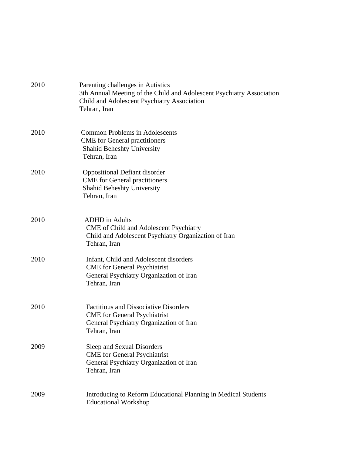| 2010 | Parenting challenges in Autistics<br>3th Annual Meeting of the Child and Adolescent Psychiatry Association<br>Child and Adolescent Psychiatry Association<br>Tehran, Iran |
|------|---------------------------------------------------------------------------------------------------------------------------------------------------------------------------|
| 2010 | <b>Common Problems in Adolescents</b><br><b>CME</b> for General practitioners<br><b>Shahid Beheshty University</b><br>Tehran, Iran                                        |
| 2010 | <b>Oppositional Defiant disorder</b><br><b>CME</b> for General practitioners<br><b>Shahid Beheshty University</b><br>Tehran, Iran                                         |
| 2010 | <b>ADHD</b> in Adults<br>CME of Child and Adolescent Psychiatry<br>Child and Adolescent Psychiatry Organization of Iran<br>Tehran, Iran                                   |
| 2010 | Infant, Child and Adolescent disorders<br><b>CME</b> for General Psychiatrist<br>General Psychiatry Organization of Iran<br>Tehran, Iran                                  |
| 2010 | <b>Factitious and Dissociative Disorders</b><br><b>CME</b> for General Psychiatrist<br>General Psychiatry Organization of Iran<br>Tehran, Iran                            |
| 2009 | Sleep and Sexual Disorders<br><b>CME</b> for General Psychiatrist<br>General Psychiatry Organization of Iran<br>Tehran, Iran                                              |
| 2009 | Introducing to Reform Educational Planning in Medical Students<br><b>Educational Workshop</b>                                                                             |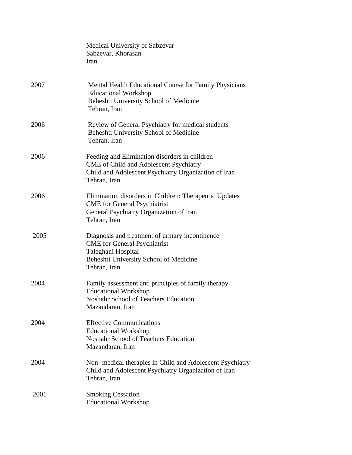|      | Medical University of Sabzevar<br>Sabzevar, Khorasan<br>Iran                                                                                                           |
|------|------------------------------------------------------------------------------------------------------------------------------------------------------------------------|
| 2007 | Mental Health Educational Course for Family Physicians<br><b>Educational Workshop</b><br>Beheshti University School of Medicine<br>Tehran, Iran                        |
| 2006 | Review of General Psychiatry for medical students<br>Beheshti University School of Medicine<br>Tehran, Iran                                                            |
| 2006 | Feeding and Elimination disorders in children<br>CME of Child and Adolescent Psychiatry<br>Child and Adolescent Psychiatry Organization of Iran<br>Tehran, Iran        |
| 2006 | Elimination disorders in Children: Therapeutic Updates<br><b>CME</b> for General Psychiatrist<br>General Psychiatry Organization of Iran<br>Tehran, Iran               |
| 2005 | Diagnosis and treatment of urinary incontinence<br><b>CME</b> for General Psychiatrist<br>Taleghani Hospital<br>Beheshti University School of Medicine<br>Tehran, Iran |
| 2004 | Family assessment and principles of family therapy<br><b>Educational Workshop</b><br>Noshahr School of Teachers Education<br>Mazandaran, Iran                          |
| 2004 | <b>Effective Communications</b><br><b>Educational Workshop</b><br>Noshahr School of Teachers Education<br>Mazandaran, Iran                                             |
| 2004 | Non-medical therapies in Child and Adolescent Psychiatry<br>Child and Adolescent Psychiatry Organization of Iran<br>Tehran, Iran.                                      |
| 2001 | <b>Smoking Cessation</b><br><b>Educational Workshop</b>                                                                                                                |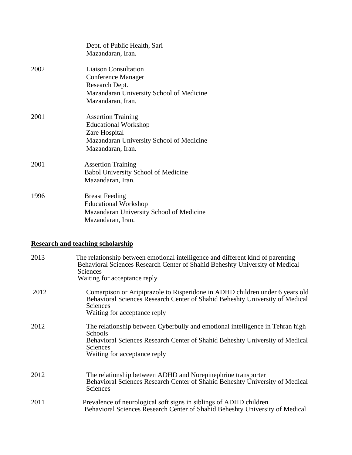|      | Dept. of Public Health, Sari<br>Mazandaran, Iran.                                                                                          |
|------|--------------------------------------------------------------------------------------------------------------------------------------------|
| 2002 | <b>Liaison Consultation</b><br>Conference Manager<br>Research Dept.<br>Mazandaran University School of Medicine<br>Mazandaran, Iran.       |
| 2001 | <b>Assertion Training</b><br><b>Educational Workshop</b><br>Zare Hospital<br>Mazandaran University School of Medicine<br>Mazandaran, Iran. |
| 2001 | <b>Assertion Training</b><br>Babol University School of Medicine<br>Mazandaran, Iran.                                                      |
| 1996 | <b>Breast Feeding</b><br><b>Educational Workshop</b><br>Mazandaran University School of Medicine<br>Mazandaran, Iran.                      |

## **Research and teaching scholarship**

| 2013 | The relationship between emotional intelligence and different kind of parenting<br>Behavioral Sciences Research Center of Shahid Beheshty University of Medical<br>Sciences<br>Waiting for acceptance reply          |
|------|----------------------------------------------------------------------------------------------------------------------------------------------------------------------------------------------------------------------|
| 2012 | Comarpison or Aripiprazole to Risperidone in ADHD children under 6 years old<br>Behavioral Sciences Research Center of Shahid Beheshty University of Medical<br><b>Sciences</b><br>Waiting for acceptance reply      |
| 2012 | The relationship between Cyberbully and emotional intelligence in Tehran high<br>Schools<br>Behavioral Sciences Research Center of Shahid Beheshty University of Medical<br>Sciences<br>Waiting for acceptance reply |
| 2012 | The relationship between ADHD and Norepinephrine transporter<br>Behavioral Sciences Research Center of Shahid Beheshty University of Medical<br>Sciences                                                             |
| 2011 | Prevalence of neurological soft signs in siblings of ADHD children<br>Behavioral Sciences Research Center of Shahid Beheshty University of Medical                                                                   |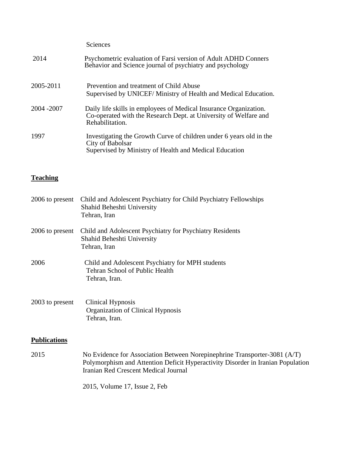|             | <b>Sciences</b>                                                                                                                                          |
|-------------|----------------------------------------------------------------------------------------------------------------------------------------------------------|
| 2014        | Psychometric evaluation of Farsi version of Adult ADHD Conners<br>Behavior and Science journal of psychiatry and psychology                              |
| 2005-2011   | Prevention and treatment of Child Abuse<br>Supervised by UNICEF/ Ministry of Health and Medical Education.                                               |
| 2004 - 2007 | Daily life skills in employees of Medical Insurance Organization.<br>Co-operated with the Research Dept. at University of Welfare and<br>Rehabilitation. |
| 1997        | Investigating the Growth Curve of children under 6 years old in the<br>City of Babolsar<br>Supervised by Ministry of Health and Medical Education        |

# **Teaching**

| 2006 to present     | Child and Adolescent Psychiatry for Child Psychiatry Fellowships<br>Shahid Beheshti University<br>Tehran, Iran                                                                                       |
|---------------------|------------------------------------------------------------------------------------------------------------------------------------------------------------------------------------------------------|
| 2006 to present     | Child and Adolescent Psychiatry for Psychiatry Residents<br>Shahid Beheshti University<br>Tehran, Iran                                                                                               |
| 2006                | Child and Adolescent Psychiatry for MPH students<br>Tehran School of Public Health<br>Tehran, Iran.                                                                                                  |
| 2003 to present     | Clinical Hypnosis<br>Organization of Clinical Hypnosis<br>Tehran, Iran.                                                                                                                              |
| <b>Publications</b> |                                                                                                                                                                                                      |
| 2015                | No Evidence for Association Between Norepinephrine Transporter-3081 (A/T)<br>Polymorphism and Attention Deficit Hyperactivity Disorder in Iranian Population<br>Iranian Red Crescent Medical Journal |

2015, Volume 17, Issue 2, Feb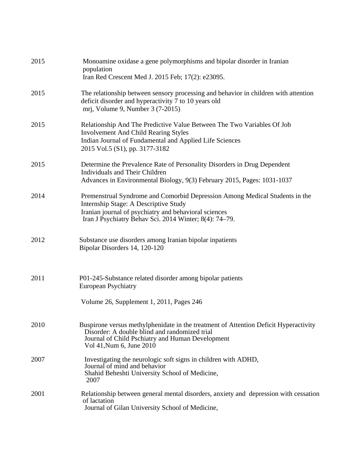| 2015 | Monoamine oxidase a gene polymorphisms and bipolar disorder in Iranian<br>population<br>Iran Red Crescent Med J. 2015 Feb; 17(2): e23095.                                                                                               |
|------|-----------------------------------------------------------------------------------------------------------------------------------------------------------------------------------------------------------------------------------------|
| 2015 | The relationship between sensory processing and behavior in children with attention<br>deficit disorder and hyperactivity 7 to 10 years old<br>mrj, Volume 9, Number 3 (7-2015)                                                         |
| 2015 | Relationship And The Predictive Value Between The Two Variables Of Job<br><b>Involvement And Child Rearing Styles</b><br>Indian Journal of Fundamental and Applied Life Sciences<br>2015 Vol.5 (S1), pp. 3177-3182                      |
| 2015 | Determine the Prevalence Rate of Personality Disorders in Drug Dependent<br><b>Individuals and Their Children</b><br>Advances in Environmental Biology, 9(3) February 2015, Pages: 1031-1037                                            |
| 2014 | Premenstrual Syndrome and Comorbid Depression Among Medical Students in the<br>Internship Stage: A Descriptive Study<br>Iranian journal of psychiatry and behavioral sciences<br>Iran J Psychiatry Behav Sci. 2014 Winter; 8(4): 74–79. |
| 2012 | Substance use disorders among Iranian bipolar inpatients<br>Bipolar Disorders 14, 120-120                                                                                                                                               |
| 2011 | P01-245-Substance related disorder among bipolar patients<br><b>European Psychiatry</b><br>Volume 26, Supplement 1, 2011, Pages 246                                                                                                     |
| 2010 | Buspirone versus methylphenidate in the treatment of Attention Deficit Hyperactivity<br>Disorder: A double blind and randomized trial<br>Journal of Child Pschiatry and Human Development<br>Vol 41, Num 6, June 2010                   |
| 2007 | Investigating the neurologic soft signs in children with ADHD,<br>Journal of mind and behavior<br>Shahid Beheshti University School of Medicine,<br>2007                                                                                |
| 2001 | Relationship between general mental disorders, anxiety and depression with cessation<br>of lactation<br>Journal of Gilan University School of Medicine,                                                                                 |